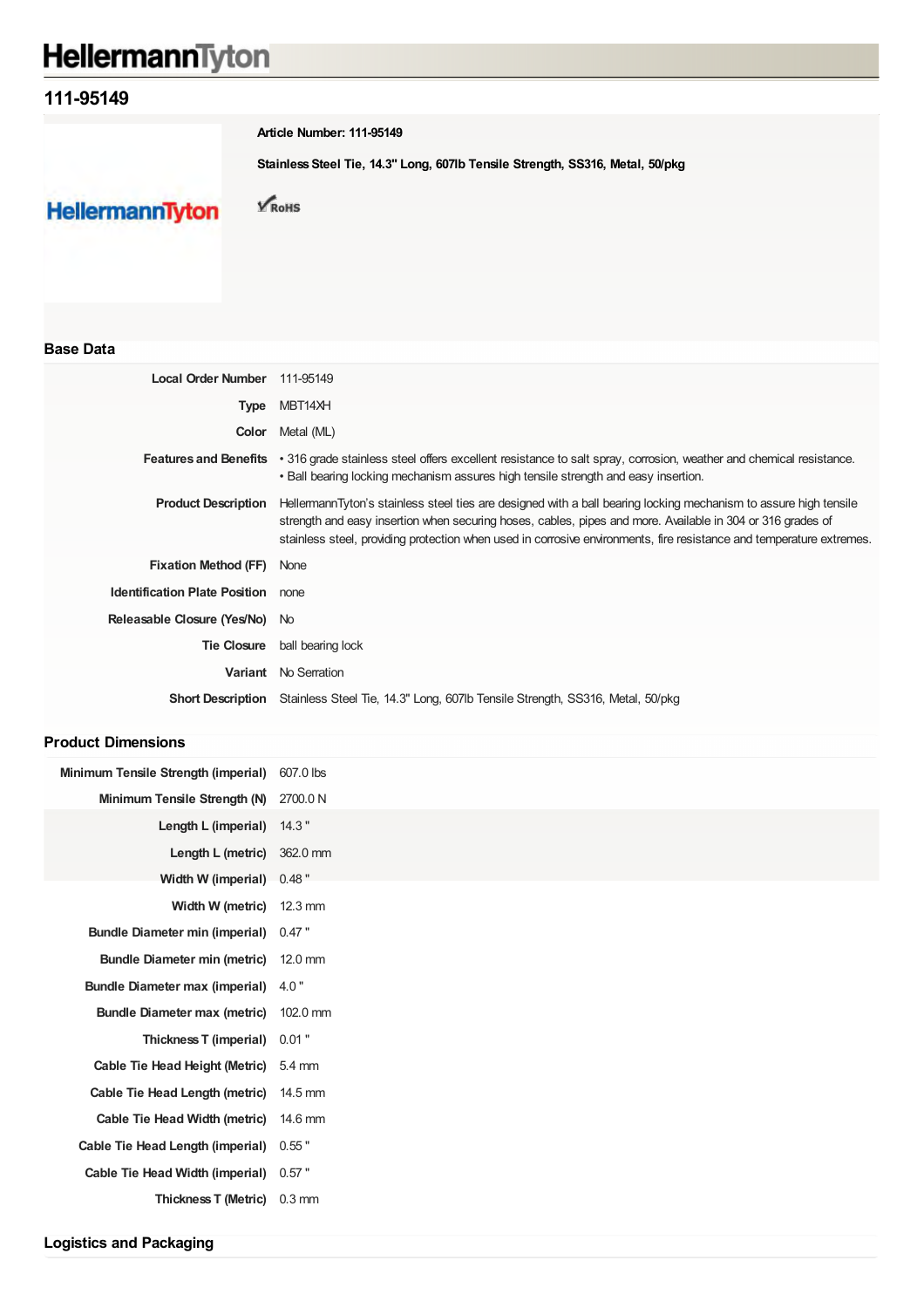# HellermannTyton

# **111-95149**

**Article Number: 111-95149**

**Stainless Steel Tie, 14.3" Long, 607lb Tensile Strength, SS316, Metal, 50/pkg**

**HellermannTyton** 

 $\sqrt{\text{RoHS}}$ 

## **Base Data**

| Local Order Number 111-95149              |                                                                                                                                                                                                                                                                                                                                                        |
|-------------------------------------------|--------------------------------------------------------------------------------------------------------------------------------------------------------------------------------------------------------------------------------------------------------------------------------------------------------------------------------------------------------|
| Type                                      | MBT14XH                                                                                                                                                                                                                                                                                                                                                |
| Color                                     | Metal (ML)                                                                                                                                                                                                                                                                                                                                             |
| <b>Features and Benefits</b>              | • 316 grade stainless steel offers excellent resistance to salt spray, corrosion, weather and chemical resistance.<br>• Ball bearing locking mechanism assures high tensile strength and easy insertion.                                                                                                                                               |
| <b>Product Description</b>                | HellermannTyton's stainless steel ties are designed with a ball bearing locking mechanism to assure high tensile<br>strength and easy insertion when securing hoses, cables, pipes and more. Available in 304 or 316 grades of<br>stainless steel, providing protection when used in corrosive environments, fire resistance and temperature extremes. |
| <b>Fixation Method (FF)</b>               | None                                                                                                                                                                                                                                                                                                                                                   |
| <b>Identification Plate Position</b> none |                                                                                                                                                                                                                                                                                                                                                        |
| Releasable Closure (Yes/No) No            |                                                                                                                                                                                                                                                                                                                                                        |
| <b>Tie Closure</b>                        | ball bearing lock                                                                                                                                                                                                                                                                                                                                      |
|                                           | <b>Variant</b> No Serration                                                                                                                                                                                                                                                                                                                            |
|                                           | <b>Short Description</b> Stainless Steel Tie, 14.3" Long, 607lb Tensile Strength, SS316, Metal, 50/pkg                                                                                                                                                                                                                                                 |

### **Product Dimensions**

| Minimum Tensile Strength (imperial)   | 607.0 lbs        |
|---------------------------------------|------------------|
| Minimum Tensile Strength (N)          | 2700.0 N         |
| Length L (imperial)                   | 14.3"            |
| Length L (metric)                     | 362.0 mm         |
| Width W (imperial)                    | $0.48$ "         |
| Width W (metric)                      | 12.3 mm          |
| <b>Bundle Diameter min (imperial)</b> | $0.47$ "         |
| <b>Bundle Diameter min (metric)</b>   | 12.0 mm          |
| <b>Bundle Diameter max (imperial)</b> | 4.0"             |
| <b>Bundle Diameter max (metric)</b>   | 102.0 mm         |
| Thickness T (imperial)                | $0.01$ "         |
| <b>Cable Tie Head Height (Metric)</b> | $5.4 \text{ mm}$ |
| Cable Tie Head Length (metric)        | 14.5 mm          |
| Cable Tie Head Width (metric)         | 14.6 mm          |
| Cable Tie Head Length (imperial)      | $0.55$ "         |
| Cable Tie Head Width (imperial)       | $0.57$ "         |
| <b>Thickness T (Metric)</b>           | $0.3 \text{ mm}$ |
|                                       |                  |